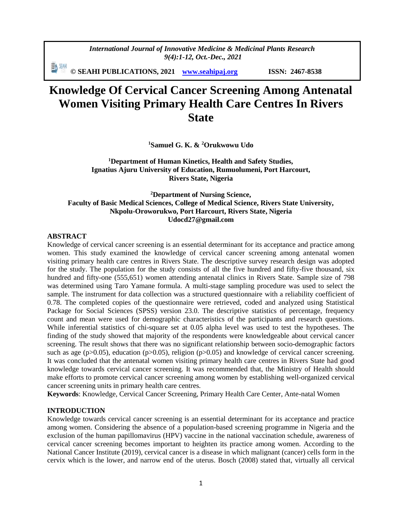*International Journal of Innovative Medicine & Medicinal Plants Research 9(4):1-12, Oct.-Dec., 2021*

動洲 **© SEAHI PUBLICATIONS, 2021 [www.seahipaj.org](http://www.seahipaj.org/) ISSN: 2467-8538**

# **Knowledge Of Cervical Cancer Screening Among Antenatal Women Visiting Primary Health Care Centres In Rivers State**

**<sup>1</sup>Samuel G. K. & <sup>2</sup>Orukwowu Udo**

**<sup>1</sup>Department of Human Kinetics, Health and Safety Studies, Ignatius Ajuru University of Education, Rumuolumeni, Port Harcourt, Rivers State, Nigeria**

# **<sup>2</sup>Department of Nursing Science, Faculty of Basic Medical Sciences, College of Medical Science, Rivers State University, Nkpolu-Oroworukwo, Port Harcourt, Rivers State, Nigeria Udocd27@gmail.com**

#### **ABSTRACT**

Knowledge of cervical cancer screening is an essential determinant for its acceptance and practice among women. This study examined the knowledge of cervical cancer screening among antenatal women visiting primary health care centres in Rivers State. The descriptive survey research design was adopted for the study. The population for the study consists of all the five hundred and fifty-five thousand, six hundred and fifty-one (555,651) women attending antenatal clinics in Rivers State. Sample size of 798 was determined using Taro Yamane formula. A multi-stage sampling procedure was used to select the sample. The instrument for data collection was a structured questionnaire with a reliability coefficient of 0.78. The completed copies of the questionnaire were retrieved, coded and analyzed using Statistical Package for Social Sciences (SPSS) version 23.0. The descriptive statistics of percentage, frequency count and mean were used for demographic characteristics of the participants and research questions. While inferential statistics of chi-square set at 0.05 alpha level was used to test the hypotheses. The finding of the study showed that majority of the respondents were knowledgeable about cervical cancer screening. The result shows that there was no significant relationship between socio-demographic factors such as age (p>0.05), education (p>0.05), religion (p>0.05) and knowledge of cervical cancer screening. It was concluded that the antenatal women visiting primary health care centres in Rivers State had good knowledge towards cervical cancer screening. It was recommended that, the Ministry of Health should make efforts to promote cervical cancer screening among women by establishing well-organized cervical cancer screening units in primary health care centres*.*

**Keywords**: Knowledge, Cervical Cancer Screening, Primary Health Care Center, Ante-natal Women

#### **INTRODUCTION**

Knowledge towards cervical cancer screening is an essential determinant for its acceptance and practice among women. Considering the absence of a population-based screening programme in Nigeria and the exclusion of the human papillomavirus (HPV) vaccine in the national vaccination schedule, awareness of cervical cancer screening becomes important to heighten its practice among women. According to the National Cancer Institute (2019), cervical cancer is a disease in which malignant (cancer) cells form in the cervix which is the lower, and narrow end of the [uterus.](https://www.cancer.gov/Common/PopUps/popDefinition.aspx?id=46645&version=patient&language=English&dictionary=Cancer.gov) Bosch (2008) stated that, virtually all cervical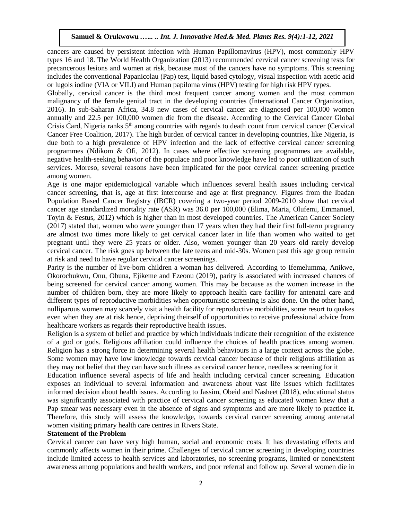cancers are caused by persistent infection with Human Papillomavirus (HPV), most commonly HPV types 16 and 18. The World Health Organization (2013) recommended cervical cancer screening tests for precancerous lesions and women at risk, because most of the cancers have no symptoms. This screening includes the conventional Papanicolau (Pap) test, liquid based cytology, visual inspection with acetic acid or lugols iodine (VIA or VILI) and Human papiloma virus (HPV) testing for high risk HPV types.

Globally, cervical cancer is the third most frequent cancer among women and the most common malignancy of the female genital tract in the developing countries (International Cancer Organization, 2016). In sub-Saharan Africa, 34.8 new cases of cervical cancer are diagnosed per 100,000 women annually and 22.5 per 100,000 women die from the disease. According to the Cervical Cancer Global Crisis Card, Nigeria ranks 5th among countries with regards to death count from cervical cancer (Cervical Cancer Free Coalition, 2017). The high burden of cervical cancer in developing countries, like Nigeria, is due both to a high prevalence of HPV infection and the lack of effective cervical cancer screening programmes (Ndikom & Ofi, 2012). In cases where effective screening programmes are available, negative health-seeking behavior of the populace and poor knowledge have led to poor utilization of such services. Moreso, several reasons have been implicated for the poor cervical cancer screening practice among women.

Age is one major epidemiological variable which influences several health issues including cervical cancer screening, that is, age at first intercourse and age at first pregnancy. Figures from the Ibadan Population Based Cancer Registry (IBCR) covering a two-year period 2009-2010 show that cervical cancer age standardized mortality rate (ASR) was 36.0 per 100,000 (Elima, Maria, Olufemi, Emmanuel, Toyin & Festus, 2012) which is higher than in most developed countries. The American Cancer Society (2017) stated that, women who were younger than 17 years when they had their first full-term pregnancy are almost two times more likely to get cervical cancer later in life than women who waited to get pregnant until they were 25 years or older. Also, women younger than 20 years old rarely develop cervical cancer. The risk goes up between the late teens and mid-30s. Women past this age group remain at risk and need to have regular cervical cancer screenings.

Parity is the number of live-born children a woman has delivered. According to Ifemelumma, Anikwe, Okorochukwu, Onu, Obuna, Ejikeme and Ezeonu (2019), parity is associated with increased chances of being screened for cervical cancer among women. This may be because as the women increase in the number of children born, they are more likely to approach health care facility for antenatal care and different types of reproductive morbidities when opportunistic screening is also done. On the other hand, nulliparous women may scarcely visit a health facility for reproductive morbidities, some resort to quakes even when they are at risk hence, depriving theirself of opportunities to receive professional advice from healthcare workers as regards their reproductive health issues.

Religion is a system of belief and practice by which individuals indicate their recognition of the existence of a god or gods. Religious affiliation could influence the choices of health practices among women. Religion has a strong force in determining several health behaviours in a large context across the globe. Some women may have low knowledge towards cervical cancer because of their religious affiliation as they may not belief that they can have such illness as cervical cancer hence, needless screening for it

Education influence several aspects of life and health including cervical cancer screening. Education exposes an individual to several information and awareness about vast life issues which facilitates informed decision about health issues. According to Jassim, Obeid and Nasheet (2018), educational status was significantly associated with practice of cervical cancer screening as educated women knew that a Pap smear was necessary even in the absence of signs and symptoms and are more likely to practice it. Therefore, this study will assess the knowledge, towards cervical cancer screening among antenatal women visiting primary health care centres in Rivers State.

### **Statement of the Problem**

Cervical cancer can have very high human, social and economic costs. It has devastating effects and commonly affects women in their prime. Challenges of cervical cancer screening in developing countries include limited access to health services and laboratories, no screening programs, limited or nonexistent awareness among populations and health workers, and poor referral and follow up. Several women die in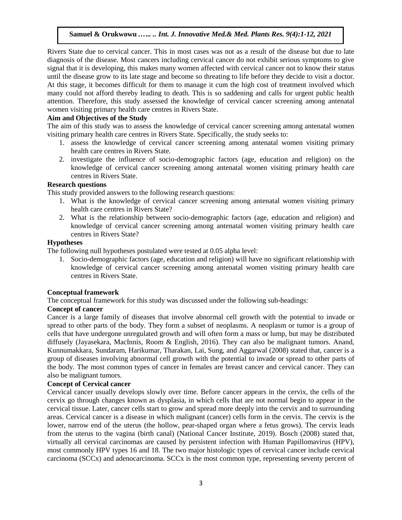Rivers State due to cervical cancer. This in most cases was not as a result of the disease but due to late diagnosis of the disease. Most cancers including cervical cancer do not exhibit serious symptoms to give signal that it is developing, this makes many women affected with cervical cancer not to know their status until the disease grow to its late stage and become so threating to life before they decide to visit a doctor. At this stage, it becomes difficult for them to manage it cum the high cost of treatment involved which many could not afford thereby leading to death. This is so saddening and calls for urgent public health attention. Therefore, this study assessed the knowledge of cervical cancer screening among antenatal women visiting primary health care centres in Rivers State.

### **Aim and Objectives of the Study**

The aim of this study was to assess the knowledge of cervical cancer screening among antenatal women visiting primary health care centres in Rivers State. Specifically, the study seeks to:

- 1. assess the knowledge of cervical cancer screening among antenatal women visiting primary health care centres in Rivers State.
- 2. investigate the influence of socio-demographic factors (age, education and religion) on the knowledge of cervical cancer screening among antenatal women visiting primary health care centres in Rivers State.

# **Research questions**

This study provided answers to the following research questions:

- 1. What is the knowledge of cervical cancer screening among antenatal women visiting primary health care centres in Rivers State?
- 2. What is the relationship between socio-demographic factors (age, education and religion) and knowledge of cervical cancer screening among antenatal women visiting primary health care centres in Rivers State?

### **Hypotheses**

The following null hypotheses postulated were tested at 0.05 alpha level:

1. Socio-demographic factors (age, education and religion) will have no significant relationship with knowledge of cervical cancer screening among antenatal women visiting primary health care centres in Rivers State.

# **Conceptual framework**

The conceptual framework for this study was discussed under the following sub-headings:

# **Concept of cancer**

Cancer is a large family of diseases that involve abnormal [cell growth](mhtml:file://C:/Users/user/Desktop/AMAS%20WORK%202/Cancer%20-%20Wikipedia.mhtml!https://en.m.wikipedia.org/wiki/Cell_growth) with the potential to invade or spread to other parts of the body. They form a subset of [neoplasms.](mhtml:file://C:/Users/user/Desktop/AMAS%20WORK%202/Cancer%20-%20Wikipedia.mhtml!https://en.m.wikipedia.org/wiki/Neoplasm) A neoplasm or tumor is a group of cells that have undergone unregulated growth and will often form a mass or lump, but may be distributed diffusely (Jayasekara, MacInnis, Room & English, 2016). They can also be malignant tumors. Anand, Kunnumakkara, Sundaram, Harikumar, Tharakan, Lai, Sung, and Aggarwal (2008) stated that, cancer is a group of diseases involving abnormal [cell growth](mhtml:file://C:/Users/user/Desktop/AMAS%20WORK%202/Cancer%20-%20Wikipedia.mhtml!https://en.m.wikipedia.org/wiki/Cell_growth) with the potential to invade or spread to other parts of the body. The most common types of cancer in females are breast cancer and cervical cancer. They can also be malignant tumors.

### **Concept of Cervical cancer**

[Cervical cancer](https://www.cancer.gov/Common/PopUps/popDefinition.aspx?id=444973&version=patient&language=English&dictionary=Cancer.gov) usually develops slowly over time. Before [cancer](https://www.cancer.gov/Common/PopUps/popDefinition.aspx?id=45333&version=patient&language=English&dictionary=Cancer.gov) appears in the cervix, the [cells](https://www.cancer.gov/Common/PopUps/popDefinition.aspx?id=46476&version=patient&language=English&dictionary=Cancer.gov) of the cervix go through changes known as [dysplasia,](https://www.cancer.gov/Common/PopUps/popDefinition.aspx?id=45675&version=patient&language=English&dictionary=Cancer.gov) in which cells that are not normal begin to appear in the [cervical](https://www.cancer.gov/Common/PopUps/popDefinition.aspx?id=44102&version=patient&language=English&dictionary=Cancer.gov) [tissue.](https://www.cancer.gov/Common/PopUps/popDefinition.aspx?id=46683&version=patient&language=English&dictionary=Cancer.gov) Later, cancer cells start to grow and spread more deeply into the cervix and to surrounding areas. Cervical cancer is a disease in which malignant (cancer) cells form in the cervix. The [cervix](https://www.cancer.gov/Common/PopUps/popDefinition.aspx?id=46133&version=patient&language=English&dictionary=Cancer.gov) is the lower, narrow end of the [uterus](https://www.cancer.gov/Common/PopUps/popDefinition.aspx?id=46645&version=patient&language=English&dictionary=Cancer.gov) (the hollow, pear-shaped [organ](https://www.cancer.gov/Common/PopUps/popDefinition.aspx?id=257523&version=patient&language=English&dictionary=Cancer.gov) where a [fetus](https://www.cancer.gov/Common/PopUps/popDefinition.aspx?id=46400&version=patient&language=English&dictionary=Cancer.gov) grows). The cervix leads from the uterus to the [vagina](https://www.cancer.gov/Common/PopUps/popDefinition.aspx?id=46646&version=patient&language=English&dictionary=Cancer.gov) (birth canal) (National Cancer Institute, 2019). Bosch (2008) stated that, virtually all cervical carcinomas are caused by persistent infection with Human Papillomavirus (HPV), most commonly HPV types 16 and 18. The two major histologic types of cervical cancer include cervical carcinoma (SCCx) and adenocarcinoma. SCCx is the most common type, representing seventy percent of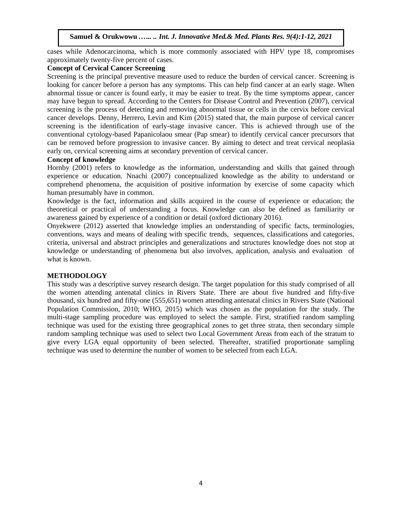cases while Adenocarcinoma, which is more commonly associated with HPV type 18, compromises approximately twenty-five percent of cases.

### **Concept of Cervical Cancer Screening**

Screening is the principal preventive measure used to reduce the burden of cervical cancer. [Screening](https://www.cancer.gov/Common/PopUps/popDefinition.aspx?id=46171&version=patient&language=English&dictionary=Cancer.gov) is looking for [cancer](https://www.cancer.gov/Common/PopUps/popDefinition.aspx?id=45333&version=patient&language=English&dictionary=Cancer.gov) before a person has any [symptoms.](https://www.cancer.gov/Common/PopUps/popDefinition.aspx?id=45022&version=patient&language=English&dictionary=Cancer.gov) This can help find cancer at an early [stage.](https://www.cancer.gov/Common/PopUps/popDefinition.aspx?id=45885&version=patient&language=English&dictionary=Cancer.gov) When [abnormal](https://www.cancer.gov/Common/PopUps/popDefinition.aspx?id=44636&version=patient&language=English&dictionary=Cancer.gov) [tissue](https://www.cancer.gov/Common/PopUps/popDefinition.aspx?id=46683&version=patient&language=English&dictionary=Cancer.gov) or cancer is found early, it may be easier to treat. By the time symptoms appear, cancer may have begun to spread. According to the Centers for Disease Control and Prevention (2007), cervical screening is the process of detecting and removing abnormal tissue or cells in the [cervix](https://en.wikipedia.org/wiki/Cervix) before [cervical](https://en.wikipedia.org/wiki/Cervical_cancer)  [cancer](https://en.wikipedia.org/wiki/Cervical_cancer) develops. Denny, Herrero, Levin and Kim (2015) stated that, the main purpose of cervical cancer screening is the identification of early-stage invasive cancer. This is achieved through use of the conventional cytology-based Papanicolaou smear (Pap smear) to identify cervical cancer precursors that can be removed before progression to invasive cancer. By aiming to detect and treat cervical [neoplasia](https://en.wikipedia.org/wiki/Neoplasia) early on, cervical screening aims at [secondary prevention](https://en.wikipedia.org/wiki/Preventive_healthcare#Secondary_prevention) of cervical cancer.

# **Concept of knowledge**

Hornby (2001) refers to knowledge as the information, understanding and skills that gained through experience or education. Nnachi (2007) conceptualized knowledge as the ability to understand or comprehend phenomena, the acquisition of positive information by exercise of some capacity which human presumably have in common.

Knowledge is the fact, information and skills acquired in the course of experience or education; the theoretical or practical of understanding a focus. Knowledge can also be defined as familiarity or awareness gained by experience of a condition or detail (oxford dictionary 2016).

Onyekwere (2012) asserted that knowledge implies an understanding of specific facts, terminologies, conventions, ways and means of dealing with specific trends, sequences, classifications and categories, criteria, universal and abstract principles and generalizations and structures knowledge does not stop at knowledge or understanding of phenomena but also involves, application, analysis and evaluation of what is known.

# **METHODOLOGY**

This study was a descriptive survey research design. The target population for this study comprised of all the women attending antenatal clinics in Rivers State. There are about five hundred and fifty-five thousand, six hundred and fifty-one (555,651) women attending antenatal clinics in Rivers State (National Population Commission, 2010; WHO, 2015) which was chosen as the population for the study. The multi-stage sampling procedure was employed to select the sample. First, stratified random sampling technique was used for the existing three geographical zones to get three strata, then secondary simple random sampling technique was used to select two Local Government Areas from each of the stratum to give every LGA equal opportunity of been selected. Thereafter, stratified proportionate sampling technique was used to determine the number of women to be selected from each LGA.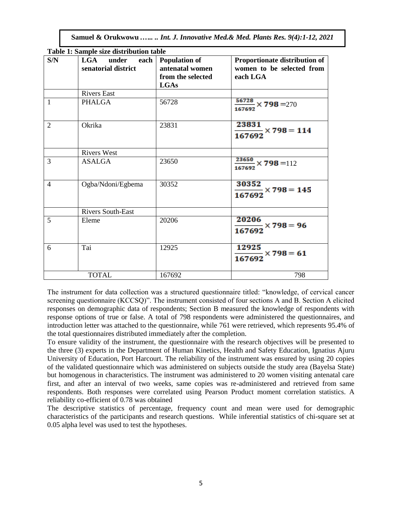| S/N            | LGA<br>under<br>senatorial district | each   Population of<br>antenatal women | Proportionate distribution of<br>women to be selected from |
|----------------|-------------------------------------|-----------------------------------------|------------------------------------------------------------|
|                |                                     | from the selected<br><b>LGAs</b>        | each LGA                                                   |
|                | <b>Rivers East</b>                  |                                         |                                                            |
| $\mathbf{1}$   | <b>PHALGA</b>                       | 56728                                   | $\frac{56728}{167692}$ × 798 = 270                         |
| $\overline{2}$ | Okrika                              | 23831                                   | 23831                                                      |
|                |                                     |                                         | $\frac{}{167692} \times 798 = 114$                         |
|                | <b>Rivers West</b>                  |                                         |                                                            |
| 3              | <b>ASALGA</b>                       | 23650                                   | $\frac{23650}{167692} \times 798 = 112$                    |
| $\overline{4}$ | Ogba/Ndoni/Egbema                   | 30352                                   | 30352                                                      |
|                |                                     |                                         | $\frac{1}{167692}$ × 798 = 145                             |
|                | <b>Rivers South-East</b>            |                                         |                                                            |
| $\overline{5}$ | Eleme                               | 20206                                   | 20206<br>$\frac{167692}{x} \times 798 = 96$                |
|                |                                     |                                         |                                                            |
| 6              | Tai                                 | 12925                                   | 12925<br>$\frac{167692}{x} \times 798 = 61$                |
|                | <b>TOTAL</b>                        | 167692                                  | 798                                                        |

| Table 1: Sample size distribution table |  |
|-----------------------------------------|--|
|-----------------------------------------|--|

The instrument for data collection was a structured questionnaire titled: "knowledge, of cervical cancer screening questionnaire (KCCSQ)". The instrument consisted of four sections A and B. Section A elicited responses on demographic data of respondents; Section B measured the knowledge of respondents with response options of true or false. A total of 798 respondents were administered the questionnaires, and introduction letter was attached to the questionnaire, while 761 were retrieved, which represents 95.4% of the total questionnaires distributed immediately after the completion.

To ensure validity of the instrument, the questionnaire with the research objectives will be presented to the three (3) experts in the Department of Human Kinetics, Health and Safety Education, Ignatius Ajuru University of Education, Port Harcourt. The reliability of the instrument was ensured by using 20 copies of the validated questionnaire which was administered on subjects outside the study area (Bayelsa State) but homogenous in characteristics. The instrument was administered to 20 women visiting antenatal care first, and after an interval of two weeks, same copies was re-administered and retrieved from same respondents. Both responses were correlated using Pearson Product moment correlation statistics. A reliability co-efficient of 0.78 was obtained

The descriptive statistics of percentage, frequency count and mean were used for demographic characteristics of the participants and research questions. While inferential statistics of chi-square set at 0.05 alpha level was used to test the hypotheses.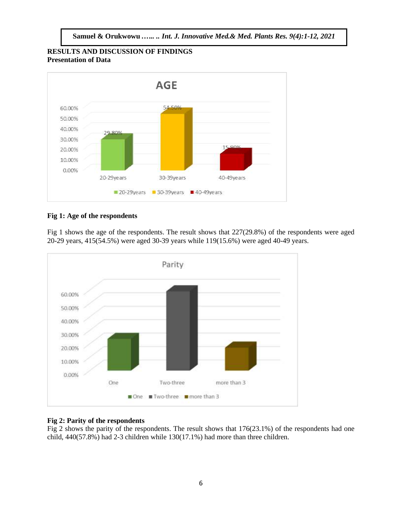**RESULTS AND DISCUSSION OF FINDINGS Presentation of Data**



# **Fig 1: Age of the respondents**

Fig 1 shows the age of the respondents. The result shows that 227(29.8%) of the respondents were aged 20-29 years, 415(54.5%) were aged 30-39 years while 119(15.6%) were aged 40-49 years.



# **Fig 2: Parity of the respondents**

Fig 2 shows the parity of the respondents. The result shows that 176(23.1%) of the respondents had one child, 440(57.8%) had 2-3 children while 130(17.1%) had more than three children.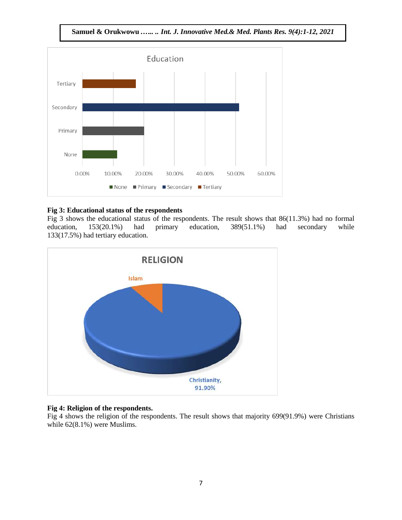**Samuel & Orukwowu** *.….. .. Int. J. Innovative Med.& Med. Plants Res. 9(4):1-12, 2021*



# **Fig 3: Educational status of the respondents**

Fig 3 shows the educational status of the respondents. The result shows that 86(11.3%) had no formal education, 153(20.1%) had primary education, 389(51.1%) had secondary while 133(17.5%) had tertiary education.



# **Fig 4: Religion of the respondents.**

Fig 4 shows the religion of the respondents. The result shows that majority 699(91.9%) were Christians while 62(8.1%) were Muslims.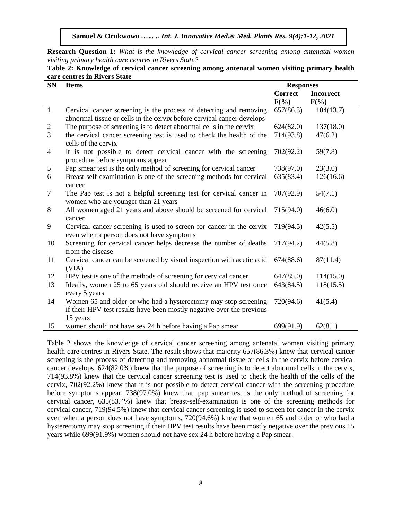**Research Question 1:** *What is the knowledge of cervical cancer screening among antenatal women visiting primary health care centres in Rivers State?*

| <b>SN</b>                | care eenings in Kivers biate<br><b>Items</b>                                                                                                         | <b>Responses</b>          |                             |  |
|--------------------------|------------------------------------------------------------------------------------------------------------------------------------------------------|---------------------------|-----------------------------|--|
|                          |                                                                                                                                                      | <b>Correct</b><br>$F(\%)$ | <b>Incorrect</b><br>$F(\%)$ |  |
| $\mathbf{1}$             | Cervical cancer screening is the process of detecting and removing<br>abnormal tissue or cells in the cervix before cervical cancer develops         | 657(86.3)                 | 104(13.7)                   |  |
| $\overline{c}$           | The purpose of screening is to detect abnormal cells in the cervix                                                                                   | 624(82.0)                 | 137(18.0)                   |  |
| $\overline{3}$           | the cervical cancer screening test is used to check the health of the<br>cells of the cervix                                                         | 714(93.8)                 | 47(6.2)                     |  |
| $\overline{\mathcal{L}}$ | It is not possible to detect cervical cancer with the screening<br>procedure before symptoms appear                                                  | 702(92.2)                 | 59(7.8)                     |  |
| 5                        | Pap smear test is the only method of screening for cervical cancer                                                                                   | 738(97.0)                 | 23(3.0)                     |  |
| 6                        | Breast-self-examination is one of the screening methods for cervical<br>cancer                                                                       | 635(83.4)                 | 126(16.6)                   |  |
| $\tau$                   | The Pap test is not a helpful screening test for cervical cancer in<br>women who are younger than 21 years                                           | 707(92.9)                 | 54(7.1)                     |  |
| 8                        | All women aged 21 years and above should be screened for cervical<br>cancer                                                                          | 715(94.0)                 | 46(6.0)                     |  |
| 9                        | Cervical cancer screening is used to screen for cancer in the cervix<br>even when a person does not have symptoms                                    | 719(94.5)                 | 42(5.5)                     |  |
| 10                       | Screening for cervical cancer helps decrease the number of deaths<br>from the disease                                                                | 717(94.2)                 | 44(5.8)                     |  |
| 11                       | Cervical cancer can be screened by visual inspection with acetic acid<br>(VIA)                                                                       | 674(88.6)                 | 87(11.4)                    |  |
| 12                       | HPV test is one of the methods of screening for cervical cancer                                                                                      | 647(85.0)                 | 114(15.0)                   |  |
| 13                       | Ideally, women 25 to 65 years old should receive an HPV test once<br>every 5 years                                                                   | 643(84.5)                 | 118(15.5)                   |  |
| 14                       | Women 65 and older or who had a hysterectomy may stop screening<br>if their HPV test results have been mostly negative over the previous<br>15 years | 720(94.6)                 | 41(5.4)                     |  |
| 15                       | women should not have sex 24 h before having a Pap smear                                                                                             | 699(91.9)                 | 62(8.1)                     |  |

| Table 2: Knowledge of cervical cancer screening among antenatal women visiting primary health |  |  |
|-----------------------------------------------------------------------------------------------|--|--|
| care centres in Rivers State                                                                  |  |  |

Table 2 shows the knowledge of cervical cancer screening among antenatal women visiting primary health care centres in Rivers State. The result shows that majority 657(86.3%) knew that cervical cancer screening is the process of detecting and removing abnormal tissue or cells in the cervix before cervical cancer develops, 624(82.0%) knew that the purpose of screening is to detect abnormal cells in the cervix, 714(93.8%) knew that the cervical cancer screening test is used to check the health of the cells of the cervix, 702(92.2%) knew that it is not possible to detect cervical cancer with the screening procedure before symptoms appear, 738(97.0%) knew that, pap smear test is the only method of screening for cervical cancer, 635(83.4%) knew that breast-self-examination is one of the screening methods for cervical cancer, 719(94.5%) knew that cervical cancer screening is used to screen for cancer in the cervix even when a person does not have symptoms, 720(94.6%) knew that women 65 and older or who had a hysterectomy may stop screening if their HPV test results have been mostly negative over the previous 15 years while 699(91.9%) women should not have sex 24 h before having a Pap smear.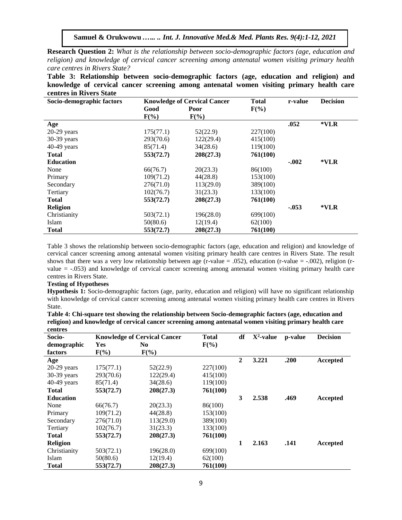**Research Question 2:** *What is the relationship between socio-demographic factors (age, education and religion) and knowledge of cervical cancer screening among antenatal women visiting primary health care centres in Rivers State?*

**Table 3: Relationship between socio-demographic factors (age, education and religion) and knowledge of cervical cancer screening among antenatal women visiting primary health care centres in Rivers State**

| Socio-demographic factors | <b>Knowledge of Cervical Cancer</b> |           | <b>Total</b> | r-value | <b>Decision</b> |
|---------------------------|-------------------------------------|-----------|--------------|---------|-----------------|
|                           | Good                                | Poor      | $F(\%)$      |         |                 |
|                           | $F(\%)$                             | $F(\%)$   |              |         |                 |
| Age                       |                                     |           |              | .052    | $*VLR$          |
| $20-29$ years             | 175(77.1)                           | 52(22.9)  | 227(100)     |         |                 |
| 30-39 years               | 293(70.6)                           | 122(29.4) | 415(100)     |         |                 |
| $40-49$ years             | 85(71.4)                            | 34(28.6)  | 119(100)     |         |                 |
| <b>Total</b>              | 553(72.7)                           | 208(27.3) | 761(100)     |         |                 |
| <b>Education</b>          |                                     |           |              | $-.002$ | $*VLR$          |
| None                      | 66(76.7)                            | 20(23.3)  | 86(100)      |         |                 |
| Primary                   | 109(71.2)                           | 44(28.8)  | 153(100)     |         |                 |
| Secondary                 | 276(71.0)                           | 113(29.0) | 389(100)     |         |                 |
| Tertiary                  | 102(76.7)                           | 31(23.3)  | 133(100)     |         |                 |
| <b>Total</b>              | 553(72.7)                           | 208(27.3) | 761(100)     |         |                 |
| <b>Religion</b>           |                                     |           |              | $-.053$ | $*VLR$          |
| Christianity              | 503(72.1)                           | 196(28.0) | 699(100)     |         |                 |
| Islam                     | 50(80.6)                            | 12(19.4)  | 62(100)      |         |                 |
| <b>Total</b>              | 553(72.7)                           | 208(27.3) | 761(100)     |         |                 |

Table 3 shows the relationship between socio-demographic factors (age, education and religion) and knowledge of cervical cancer screening among antenatal women visiting primary health care centres in Rivers State. The result shows that there was a very low relationship between age (r-value = .052), education (r-value =  $-.002$ ), religion (rvalue = -.053) and knowledge of cervical cancer screening among antenatal women visiting primary health care centres in Rivers State.

#### **Testing of Hypotheses**

**Hypothesis 1:** Socio-demographic factors (age, parity, education and religion) will have no significant relationship with knowledge of cervical cancer screening among antenatal women visiting primary health care centres in Rivers State.

| Table 4: Chi-square test showing the relationship between Socio-demographic factors (age, education and |
|---------------------------------------------------------------------------------------------------------|
| religion) and knowledge of cervical cancer screening among antenatal women visiting primary health care |
| centres                                                                                                 |

| Socio-           | <b>Knowledge of Cervical Cancer</b> |                | <b>Total</b> | df           | $X^2$ -value | p-value | <b>Decision</b> |
|------------------|-------------------------------------|----------------|--------------|--------------|--------------|---------|-----------------|
| demographic      | Yes                                 | N <sub>0</sub> | $F(\%)$      |              |              |         |                 |
| factors          | $F(\%)$                             | $F(\%)$        |              |              |              |         |                 |
| Age              |                                     |                |              | $\mathbf{2}$ | 3.221        | .200    | Accepted        |
| $20-29$ years    | 175(77.1)                           | 52(22.9)       | 227(100)     |              |              |         |                 |
| $30-39$ years    | 293(70.6)                           | 122(29.4)      | 415(100)     |              |              |         |                 |
| $40-49$ years    | 85(71.4)                            | 34(28.6)       | 119(100)     |              |              |         |                 |
| <b>Total</b>     | 553(72.7)                           | 208(27.3)      | 761(100)     |              |              |         |                 |
| <b>Education</b> |                                     |                |              | 3            | 2.538        | .469    | Accepted        |
| None             | 66(76.7)                            | 20(23.3)       | 86(100)      |              |              |         |                 |
| Primary          | 109(71.2)                           | 44(28.8)       | 153(100)     |              |              |         |                 |
| Secondary        | 276(71.0)                           | 113(29.0)      | 389(100)     |              |              |         |                 |
| Tertiary         | 102(76.7)                           | 31(23.3)       | 133(100)     |              |              |         |                 |
| <b>Total</b>     | 553(72.7)                           | 208(27.3)      | 761(100)     |              |              |         |                 |
| <b>Religion</b>  |                                     |                |              | 1            | 2.163        | .141    | Accepted        |
| Christianity     | 503(72.1)                           | 196(28.0)      | 699(100)     |              |              |         |                 |
| Islam            | 50(80.6)                            | 12(19.4)       | 62(100)      |              |              |         |                 |
| <b>Total</b>     | 553(72.7)                           | 208(27.3)      | 761(100)     |              |              |         |                 |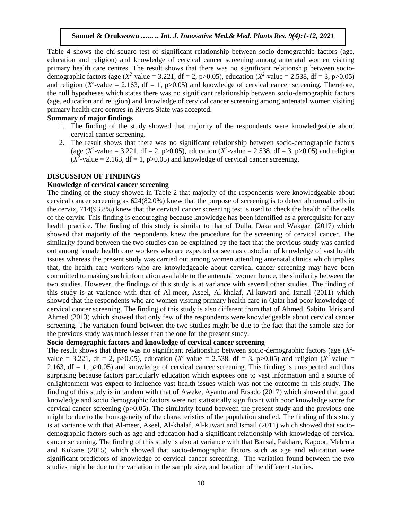Table 4 shows the chi-square test of significant relationship between socio-demographic factors (age, education and religion) and knowledge of cervical cancer screening among antenatal women visiting primary health care centres. The result shows that there was no significant relationship between sociodemographic factors (age (*X*<sup>2</sup>-value = 3.221, df = 2, p>0.05), education (*X*<sup>2</sup>-value = 2.538, df = 3, p>0.05) and religion ( $X^2$ -value = 2.163, df = 1, p>0.05) and knowledge of cervical cancer screening. Therefore, the null hypotheses which states there was no significant relationship between socio-demographic factors (age, education and religion) and knowledge of cervical cancer screening among antenatal women visiting primary health care centres in Rivers State was accepted.

### **Summary of major findings**

- 1. The finding of the study showed that majority of the respondents were knowledgeable about cervical cancer screening.
- 2. The result shows that there was no significant relationship between socio-demographic factors (age  $(X^2$ -value = 3.221, df = 2, p>0.05), education  $(X^2$ -value = 2.538, df = 3, p>0.05) and religion  $(X^2$ -value = 2.163, df = 1, p>0.05) and knowledge of cervical cancer screening.

#### **DISCUSSION OF FINDINGS**

### **Knowledge of cervical cancer screening**

The finding of the study showed in Table 2 that majority of the respondents were knowledgeable about cervical cancer screening as 624(82.0%) knew that the purpose of screening is to detect abnormal cells in the cervix, 714(93.8%) knew that the cervical cancer screening test is used to check the health of the cells of the cervix. This finding is encouraging because knowledge has been identified as a prerequisite for any health practice. The finding of this study is similar to that of Dulla, Daka and Wakgari (2017) which showed that majority of the respondents knew the procedure for the screening of cervical cancer. The similarity found between the two studies can be explained by the fact that the previous study was carried out among female health care workers who are expected or seen as custodian of knowledge of vast health issues whereas the present study was carried out among women attending antenatal clinics which implies that, the health care workers who are knowledgeable about cervical cancer screening may have been committed to making such information available to the antenatal women hence, the similarity between the two studies. However, the findings of this study is at variance with several other studies. The finding of this study is at variance with that of Al-meer, Aseel, Al-khalaf, Al-kuwari and Ismail (2011) which showed that the respondents who are women visiting primary health care in Qatar had poor knowledge of cervical cancer screening. The finding of this study is also different from that of Ahmed, Sabitu, Idris and Ahmed (2013) which showed that only few of the respondents were knowledgeable about cervical cancer screening. The variation found between the two studies might be due to the fact that the sample size for the previous study was much lesser than the one for the present study.

### **Socio-demographic factors and knowledge of cervical cancer screening**

The result shows that there was no significant relationship between socio-demographic factors (age  $(X^2$ value = 3.221, df = 2, p>0.05), education ( $X^2$ -value = 2.538, df = 3, p>0.05) and religion ( $X^2$ -value = 2.163,  $df = 1$ , p $>0.05$ ) and knowledge of cervical cancer screening. This finding is unexpected and thus surprising because factors particularly education which exposes one to vast information and a source of enlightenment was expect to influence vast health issues which was not the outcome in this study. The finding of this study is in tandem with that of Aweke, Ayanto and Ersado (2017) which showed that good knowledge and socio demographic factors were not statistically significant with poor knowledge score for cervical cancer screening (p>0.05). The similarity found between the present study and the previous one might be due to the homogeneity of the characteristics of the population studied. The finding of this study is at variance with that Al-meer, Aseel, Al-khalaf, Al-kuwari and Ismail (2011) which showed that sociodemographic factors such as age and education had a significant relationship with knowledge of cervical cancer screening. The finding of this study is also at variance with that Bansal, Pakhare, Kapoor, Mehrota and Kokane (2015) which showed that socio-demographic factors such as age and education were significant predictors of knowledge of cervical cancer screening. The variation found between the two studies might be due to the variation in the sample size, and location of the different studies.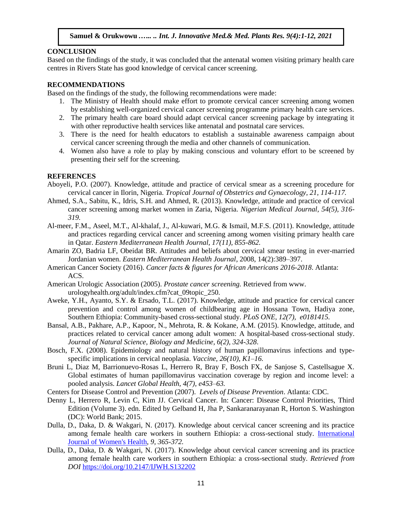### **CONCLUSION**

Based on the findings of the study, it was concluded that the antenatal women visiting primary health care centres in Rivers State has good knowledge of cervical cancer screening.

### **RECOMMENDATIONS**

Based on the findings of the study, the following recommendations were made:

- 1. The Ministry of Health should make effort to promote cervical cancer screening among women by establishing well-organized cervical cancer screening programme primary health care services.
- 2. The primary health care board should adapt cervical cancer screening package by integrating it with other reproductive health services like antenatal and postnatal care services.
- 3. There is the need for health educators to establish a sustainable awareness campaign about cervical cancer screening through the media and other channels of communication.
- 4. Women also have a role to play by making conscious and voluntary effort to be screened by presenting their self for the screening.

### **REFERENCES**

- Aboyeli, P.O. (2007). Knowledge, attitude and practice of cervical smear as a screening procedure for cervical cancer in Ilorin, Nigeria. *Tropical Journal of Obstetrics and Gynaecology, 21, 114-117.*
- Ahmed, S.A., Sabitu, K., Idris, S.H. and Ahmed, R. (2013). Knowledge, attitude and practice of cervical cancer screening among market women in Zaria, Nigeria. *Nigerian Medical Journal, 54(5), 316- 319.*
- Al-meer, F.M., Aseel, M.T., Al-khalaf, J., Al-kuwari, M.G. & Ismail, M.F.S. (2011). Knowledge, attitude and practices regarding cervical cancer and screening among women visiting primary health care in Qatar. *Eastern Mediterranean Health Journal, 17(11), 855-862.*
- Amarin ZO, Badria LF, Obeidat BR. Attitudes and beliefs about cervical smear testing in ever-married Jordanian women. *Eastern Mediterranean Health Journal*, 2008, 14(2):389–397.
- American Cancer Society (2016). *Cancer facts & figures for African Americans 2016-2018*. Atlanta: ACS.
- American Urologic Association (2005). *Prostate cancer screening.* Retrieved from www. urologyhealth.org/adult/index.cfm?cat\_09topic\_250.
- Aweke, Y.H., Ayanto, S.Y. & Ersado, T.L. (2017). Knowledge, attitude and practice for cervical cancer prevention and control among women of childbearing age in Hossana Town, Hadiya zone, Southern Ethiopia: Community-based cross-sectional study. *PLoS ONE, 12(7), e0181415.*
- Bansal, A.B., Pakhare, A.P., Kapoor, N., Mehrota, R. & Kokane, A.M. (2015). Knowledge, attitude, and practices related to cervical cancer among adult women: A hospital-based cross-sectional study. *Journal of Natural Science, Biology and Medicine, 6(2), 324-328*.
- Bosch, F.X. (2008). Epidemiology and natural history of human papillomavirus infections and typespecific implications in cervical neoplasia. *Vaccine, 26(10), K1–16.*
- Bruni L, Diaz M, Barrionuevo-Rosas L, Herrero R, Bray F, Bosch FX, de Sanjose S, Castellsague X. Global estimates of human papillomavirus vaccination coverage by region and income level: a pooled analysis. *Lancet Global Health, 4(7), e453–63.*

Centers for Disease Control and Prevention (2007). *Levels of Disease Prevention*. Atlanta: CDC.

- Denny L, Herrero R, Levin C, Kim JJ. Cervical Cancer. In: Cancer: Disease Control Priorities, Third Edition (Volume 3). edn. Edited by Gelband H, Jha P, Sankaranarayanan R, Horton S. Washington (DC): World Bank; 2015.
- Dulla, D., Daka, D. & Wakgari, N. (2017). Knowledge about cervical cancer screening and its practice among female health care workers in southern Ethiopia: a cross-sectional study. [International](https://www.dovepress.com/international-journal-of-womens-health-journal)  [Journal of Women's Health](https://www.dovepress.com/international-journal-of-womens-health-journal)*, 9, 365-372.*
- Dulla, D., Daka, D. & Wakgari, N. (2017). Knowledge about cervical cancer screening and its practice among female health care workers in southern Ethiopia: a cross-sectional study. *Retrieved from DOI* <https://doi.org/10.2147/IJWH.S132202>